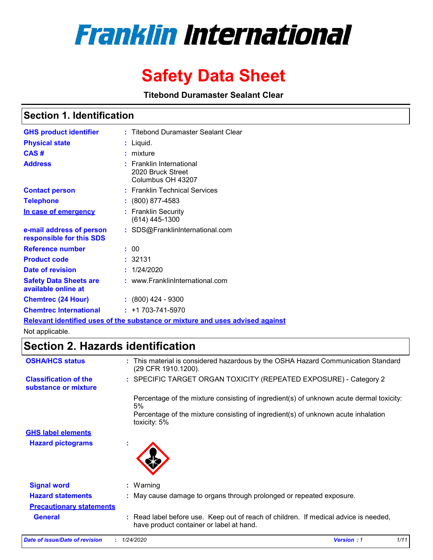# **Franklin International**

# **Safety Data Sheet**

**Titebond Duramaster Sealant Clear**

### **Section 1. Identification**

| <b>GHS product identifier</b>                        | : Titebond Duramaster Sealant Clear                                |
|------------------------------------------------------|--------------------------------------------------------------------|
| <b>Physical state</b>                                | Liquid.                                                            |
| CAS#                                                 | mixture                                                            |
| <b>Address</b>                                       | : Franklin International<br>2020 Bruck Street<br>Columbus OH 43207 |
| <b>Contact person</b>                                | : Franklin Technical Services                                      |
| <b>Telephone</b>                                     | $: (800) 877 - 4583$                                               |
| In case of emergency                                 | <b>Franklin Security</b><br>(614) 445-1300                         |
| e-mail address of person<br>responsible for this SDS | : SDS@FranklinInternational.com                                    |
| <b>Reference number</b>                              | : 00                                                               |
| <b>Product code</b>                                  | : 32131                                                            |
| Date of revision                                     | 1/24/2020                                                          |
| <b>Safety Data Sheets are</b><br>available online at | : www.FranklinInternational.com                                    |
| <b>Chemtrec (24 Hour)</b>                            | $\div$ (800) 424 - 9300                                            |
| <b>Chemtrec International</b>                        | $: +1703 - 741 - 5970$                                             |
|                                                      |                                                                    |

**Relevant identified uses of the substance or mixture and uses advised against**

Not applicable.

### **Section 2. Hazards identification**

| <b>OSHA/HCS status</b>                               | : This material is considered hazardous by the OSHA Hazard Communication Standard<br>(29 CFR 1910.1200).                         |
|------------------------------------------------------|----------------------------------------------------------------------------------------------------------------------------------|
| <b>Classification of the</b><br>substance or mixture | : SPECIFIC TARGET ORGAN TOXICITY (REPEATED EXPOSURE) - Category 2                                                                |
|                                                      | Percentage of the mixture consisting of ingredient(s) of unknown acute dermal toxicity:<br>5%                                    |
|                                                      | Percentage of the mixture consisting of ingredient(s) of unknown acute inhalation<br>toxicity: 5%                                |
| <b>GHS label elements</b>                            |                                                                                                                                  |
| <b>Hazard pictograms</b>                             | $\mathbf{r}$                                                                                                                     |
| <b>Signal word</b>                                   | $:$ Warning                                                                                                                      |
| <b>Hazard statements</b>                             | : May cause damage to organs through prolonged or repeated exposure.                                                             |
| <b>Precautionary statements</b>                      |                                                                                                                                  |
| <b>General</b>                                       | : Read label before use. Keep out of reach of children. If medical advice is needed,<br>have product container or label at hand. |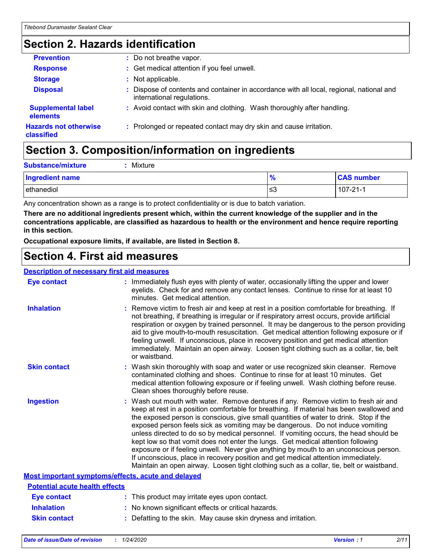# **Section 2. Hazards identification**

| <b>Prevention</b>                          | : Do not breathe vapor.                                                                                                |
|--------------------------------------------|------------------------------------------------------------------------------------------------------------------------|
| <b>Response</b>                            | : Get medical attention if you feel unwell.                                                                            |
| <b>Storage</b>                             | : Not applicable.                                                                                                      |
| <b>Disposal</b>                            | : Dispose of contents and container in accordance with all local, regional, national and<br>international regulations. |
| <b>Supplemental label</b><br>elements      | : Avoid contact with skin and clothing. Wash thoroughly after handling.                                                |
| <b>Hazards not otherwise</b><br>classified | : Prolonged or repeated contact may dry skin and cause irritation.                                                     |

# **Section 3. Composition/information on ingredients**

| <b>Substance/mixture</b> | Mixture |               |                   |
|--------------------------|---------|---------------|-------------------|
| Ingredient name          |         | $\frac{9}{6}$ | <b>CAS number</b> |
| ethanediol               |         | צ≥            | $107 - 21 - 1$    |

Any concentration shown as a range is to protect confidentiality or is due to batch variation.

**There are no additional ingredients present which, within the current knowledge of the supplier and in the concentrations applicable, are classified as hazardous to health or the environment and hence require reporting in this section.**

**Occupational exposure limits, if available, are listed in Section 8.**

### **Section 4. First aid measures**

#### **Description of necessary first aid measures**

| <b>Eye contact</b>                                 | : Immediately flush eyes with plenty of water, occasionally lifting the upper and lower<br>eyelids. Check for and remove any contact lenses. Continue to rinse for at least 10<br>minutes. Get medical attention.                                                                                                                                                                                                                                                                                                                                                                                                                                                                                                                                                                                                 |
|----------------------------------------------------|-------------------------------------------------------------------------------------------------------------------------------------------------------------------------------------------------------------------------------------------------------------------------------------------------------------------------------------------------------------------------------------------------------------------------------------------------------------------------------------------------------------------------------------------------------------------------------------------------------------------------------------------------------------------------------------------------------------------------------------------------------------------------------------------------------------------|
| <b>Inhalation</b>                                  | : Remove victim to fresh air and keep at rest in a position comfortable for breathing. If<br>not breathing, if breathing is irregular or if respiratory arrest occurs, provide artificial<br>respiration or oxygen by trained personnel. It may be dangerous to the person providing<br>aid to give mouth-to-mouth resuscitation. Get medical attention following exposure or if<br>feeling unwell. If unconscious, place in recovery position and get medical attention<br>immediately. Maintain an open airway. Loosen tight clothing such as a collar, tie, belt<br>or waistband.                                                                                                                                                                                                                              |
| <b>Skin contact</b>                                | : Wash skin thoroughly with soap and water or use recognized skin cleanser. Remove<br>contaminated clothing and shoes. Continue to rinse for at least 10 minutes. Get<br>medical attention following exposure or if feeling unwell. Wash clothing before reuse.<br>Clean shoes thoroughly before reuse.                                                                                                                                                                                                                                                                                                                                                                                                                                                                                                           |
| <b>Ingestion</b>                                   | : Wash out mouth with water. Remove dentures if any. Remove victim to fresh air and<br>keep at rest in a position comfortable for breathing. If material has been swallowed and<br>the exposed person is conscious, give small quantities of water to drink. Stop if the<br>exposed person feels sick as vomiting may be dangerous. Do not induce vomiting<br>unless directed to do so by medical personnel. If vomiting occurs, the head should be<br>kept low so that vomit does not enter the lungs. Get medical attention following<br>exposure or if feeling unwell. Never give anything by mouth to an unconscious person.<br>If unconscious, place in recovery position and get medical attention immediately.<br>Maintain an open airway. Loosen tight clothing such as a collar, tie, belt or waistband. |
| Most important symptoms/effects, acute and delayed |                                                                                                                                                                                                                                                                                                                                                                                                                                                                                                                                                                                                                                                                                                                                                                                                                   |
| <b>Potential acute health effects</b>              |                                                                                                                                                                                                                                                                                                                                                                                                                                                                                                                                                                                                                                                                                                                                                                                                                   |
| <b>Eye contact</b>                                 | : This product may irritate eyes upon contact.                                                                                                                                                                                                                                                                                                                                                                                                                                                                                                                                                                                                                                                                                                                                                                    |
| <b>Inhalation</b>                                  | : No known significant effects or critical hazards.                                                                                                                                                                                                                                                                                                                                                                                                                                                                                                                                                                                                                                                                                                                                                               |
| <b>Skin contact</b>                                | : Defatting to the skin. May cause skin dryness and irritation.                                                                                                                                                                                                                                                                                                                                                                                                                                                                                                                                                                                                                                                                                                                                                   |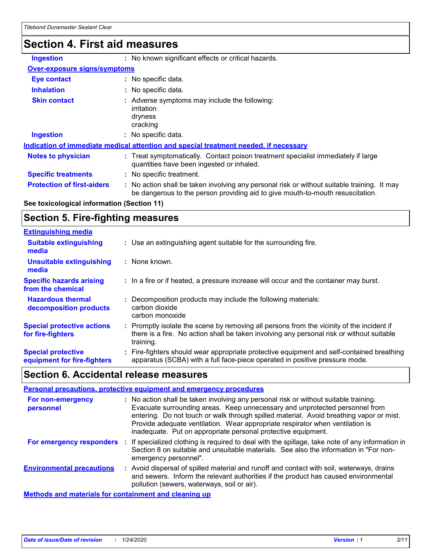# **Section 4. First aid measures**

| <b>Ingestion</b>                    | : No known significant effects or critical hazards.                                                                                                                           |
|-------------------------------------|-------------------------------------------------------------------------------------------------------------------------------------------------------------------------------|
| <b>Over-exposure signs/symptoms</b> |                                                                                                                                                                               |
| <b>Eye contact</b>                  | : No specific data.                                                                                                                                                           |
| <b>Inhalation</b>                   | : No specific data.                                                                                                                                                           |
| <b>Skin contact</b>                 | : Adverse symptoms may include the following:<br>irritation<br>dryness<br>cracking                                                                                            |
| <b>Ingestion</b>                    | : No specific data.                                                                                                                                                           |
|                                     | Indication of immediate medical attention and special treatment needed, if necessary                                                                                          |
| <b>Notes to physician</b>           | : Treat symptomatically. Contact poison treatment specialist immediately if large<br>quantities have been ingested or inhaled.                                                |
| <b>Specific treatments</b>          | : No specific treatment.                                                                                                                                                      |
| <b>Protection of first-aiders</b>   | : No action shall be taken involving any personal risk or without suitable training. It may<br>be dangerous to the person providing aid to give mouth-to-mouth resuscitation. |

#### **See toxicological information (Section 11)**

### **Section 5. Fire-fighting measures**

| <b>Extinguishing media</b>                               |                                                                                                                                                                                                     |
|----------------------------------------------------------|-----------------------------------------------------------------------------------------------------------------------------------------------------------------------------------------------------|
| <b>Suitable extinguishing</b><br>media                   | : Use an extinguishing agent suitable for the surrounding fire.                                                                                                                                     |
| <b>Unsuitable extinguishing</b><br>media                 | : None known.                                                                                                                                                                                       |
| <b>Specific hazards arising</b><br>from the chemical     | : In a fire or if heated, a pressure increase will occur and the container may burst.                                                                                                               |
| <b>Hazardous thermal</b><br>decomposition products       | Decomposition products may include the following materials:<br>carbon dioxide<br>carbon monoxide                                                                                                    |
| <b>Special protective actions</b><br>for fire-fighters   | : Promptly isolate the scene by removing all persons from the vicinity of the incident if<br>there is a fire. No action shall be taken involving any personal risk or without suitable<br>training. |
| <b>Special protective</b><br>equipment for fire-fighters | Fire-fighters should wear appropriate protective equipment and self-contained breathing<br>apparatus (SCBA) with a full face-piece operated in positive pressure mode.                              |

### **Section 6. Accidental release measures**

| <b>Personal precautions, protective equipment and emergency procedures</b> |  |                                                                                                                                                                                                                                                                                                                                                                                                                  |  |  |
|----------------------------------------------------------------------------|--|------------------------------------------------------------------------------------------------------------------------------------------------------------------------------------------------------------------------------------------------------------------------------------------------------------------------------------------------------------------------------------------------------------------|--|--|
| For non-emergency<br>personnel                                             |  | : No action shall be taken involving any personal risk or without suitable training.<br>Evacuate surrounding areas. Keep unnecessary and unprotected personnel from<br>entering. Do not touch or walk through spilled material. Avoid breathing vapor or mist.<br>Provide adequate ventilation. Wear appropriate respirator when ventilation is<br>inadequate. Put on appropriate personal protective equipment. |  |  |
| <b>For emergency responders :</b>                                          |  | If specialized clothing is required to deal with the spillage, take note of any information in<br>Section 8 on suitable and unsuitable materials. See also the information in "For non-<br>emergency personnel".                                                                                                                                                                                                 |  |  |
| <b>Environmental precautions</b>                                           |  | : Avoid dispersal of spilled material and runoff and contact with soil, waterways, drains<br>and sewers. Inform the relevant authorities if the product has caused environmental<br>pollution (sewers, waterways, soil or air).                                                                                                                                                                                  |  |  |
| <b>Methods and materials for containment and cleaning up</b>               |  |                                                                                                                                                                                                                                                                                                                                                                                                                  |  |  |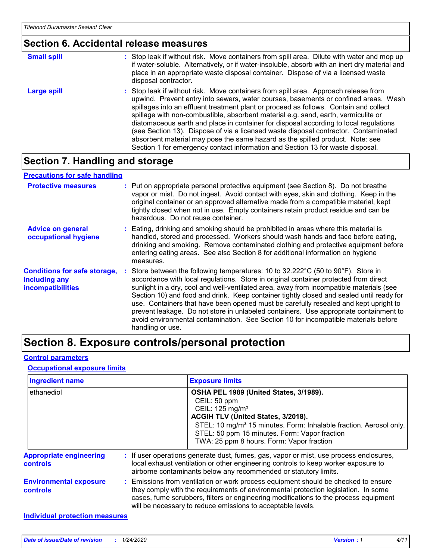#### **Section 6. Accidental release measures**

| <b>Small spill</b> | : Stop leak if without risk. Move containers from spill area. Dilute with water and mop up<br>if water-soluble. Alternatively, or if water-insoluble, absorb with an inert dry material and<br>place in an appropriate waste disposal container. Dispose of via a licensed waste<br>disposal contractor.                                                                                                                                                                                                                                                                                                                                                                                                     |
|--------------------|--------------------------------------------------------------------------------------------------------------------------------------------------------------------------------------------------------------------------------------------------------------------------------------------------------------------------------------------------------------------------------------------------------------------------------------------------------------------------------------------------------------------------------------------------------------------------------------------------------------------------------------------------------------------------------------------------------------|
| Large spill        | : Stop leak if without risk. Move containers from spill area. Approach release from<br>upwind. Prevent entry into sewers, water courses, basements or confined areas. Wash<br>spillages into an effluent treatment plant or proceed as follows. Contain and collect<br>spillage with non-combustible, absorbent material e.g. sand, earth, vermiculite or<br>diatomaceous earth and place in container for disposal according to local regulations<br>(see Section 13). Dispose of via a licensed waste disposal contractor. Contaminated<br>absorbent material may pose the same hazard as the spilled product. Note: see<br>Section 1 for emergency contact information and Section 13 for waste disposal. |

### **Section 7. Handling and storage**

#### **Advice on general occupational hygiene Conditions for safe storage, : Store between the following temperatures: 10 to 32.222°C (50 to 90°F). Store in including any incompatibilities** Eating, drinking and smoking should be prohibited in areas where this material is **:** handled, stored and processed. Workers should wash hands and face before eating, drinking and smoking. Remove contaminated clothing and protective equipment before entering eating areas. See also Section 8 for additional information on hygiene measures. accordance with local regulations. Store in original container protected from direct sunlight in a dry, cool and well-ventilated area, away from incompatible materials (see Section 10) and food and drink. Keep container tightly closed and sealed until ready for use. Containers that have been opened must be carefully resealed and kept upright to prevent leakage. Do not store in unlabeled containers. Use appropriate containment to avoid environmental contamination. See Section 10 for incompatible materials before handling or use. **Protective measures** : Put on appropriate personal protective equipment (see Section 8). Do not breathe intervapor or mist. Do not ingest. Avoid contact with eyes, skin and clothing. Keep in the original container or an approved alternative made from a compatible material, kept tightly closed when not in use. Empty containers retain product residue and can be hazardous. Do not reuse container. **Precautions for safe handling**

### **Section 8. Exposure controls/personal protection**

#### **Control parameters**

#### **Occupational exposure limits**

| <b>Ingredient name</b>                           | <b>Exposure limits</b>                                                                                                                                                                                                                                                                                                          |
|--------------------------------------------------|---------------------------------------------------------------------------------------------------------------------------------------------------------------------------------------------------------------------------------------------------------------------------------------------------------------------------------|
| ethanediol                                       | OSHA PEL 1989 (United States, 3/1989).<br>CEIL: 50 ppm<br>CEIL: 125 mg/m <sup>3</sup><br>ACGIH TLV (United States, 3/2018).<br>STEL: 10 mg/m <sup>3</sup> 15 minutes. Form: Inhalable fraction. Aerosol only.<br>STEL: 50 ppm 15 minutes. Form: Vapor fraction<br>TWA: 25 ppm 8 hours. Form: Vapor fraction                     |
| <b>Appropriate engineering</b><br>controls       | : If user operations generate dust, fumes, gas, vapor or mist, use process enclosures,<br>local exhaust ventilation or other engineering controls to keep worker exposure to<br>airborne contaminants below any recommended or statutory limits.                                                                                |
| <b>Environmental exposure</b><br><b>controls</b> | : Emissions from ventilation or work process equipment should be checked to ensure<br>they comply with the requirements of environmental protection legislation. In some<br>cases, fume scrubbers, filters or engineering modifications to the process equipment<br>will be necessary to reduce emissions to acceptable levels. |
| <b>Individual protection measures</b>            |                                                                                                                                                                                                                                                                                                                                 |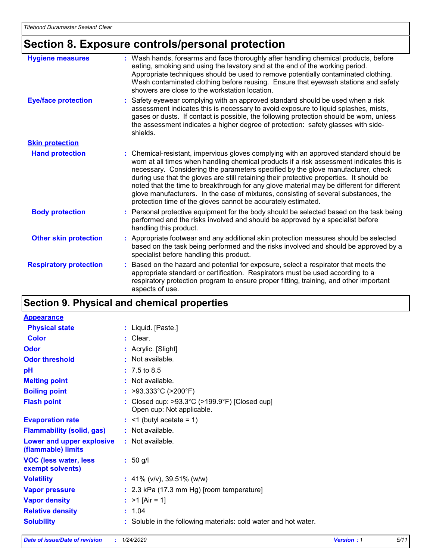# **Section 8. Exposure controls/personal protection**

| <b>Hygiene measures</b>       | : Wash hands, forearms and face thoroughly after handling chemical products, before<br>eating, smoking and using the lavatory and at the end of the working period.<br>Appropriate techniques should be used to remove potentially contaminated clothing.<br>Wash contaminated clothing before reusing. Ensure that eyewash stations and safety<br>showers are close to the workstation location.                                                                                                                                                                                                                      |
|-------------------------------|------------------------------------------------------------------------------------------------------------------------------------------------------------------------------------------------------------------------------------------------------------------------------------------------------------------------------------------------------------------------------------------------------------------------------------------------------------------------------------------------------------------------------------------------------------------------------------------------------------------------|
| <b>Eye/face protection</b>    | : Safety eyewear complying with an approved standard should be used when a risk<br>assessment indicates this is necessary to avoid exposure to liquid splashes, mists,<br>gases or dusts. If contact is possible, the following protection should be worn, unless<br>the assessment indicates a higher degree of protection: safety glasses with side-<br>shields.                                                                                                                                                                                                                                                     |
| <b>Skin protection</b>        |                                                                                                                                                                                                                                                                                                                                                                                                                                                                                                                                                                                                                        |
| <b>Hand protection</b>        | : Chemical-resistant, impervious gloves complying with an approved standard should be<br>worn at all times when handling chemical products if a risk assessment indicates this is<br>necessary. Considering the parameters specified by the glove manufacturer, check<br>during use that the gloves are still retaining their protective properties. It should be<br>noted that the time to breakthrough for any glove material may be different for different<br>glove manufacturers. In the case of mixtures, consisting of several substances, the<br>protection time of the gloves cannot be accurately estimated. |
| <b>Body protection</b>        | : Personal protective equipment for the body should be selected based on the task being<br>performed and the risks involved and should be approved by a specialist before<br>handling this product.                                                                                                                                                                                                                                                                                                                                                                                                                    |
| <b>Other skin protection</b>  | : Appropriate footwear and any additional skin protection measures should be selected<br>based on the task being performed and the risks involved and should be approved by a<br>specialist before handling this product.                                                                                                                                                                                                                                                                                                                                                                                              |
| <b>Respiratory protection</b> | : Based on the hazard and potential for exposure, select a respirator that meets the<br>appropriate standard or certification. Respirators must be used according to a<br>respiratory protection program to ensure proper fitting, training, and other important<br>aspects of use.                                                                                                                                                                                                                                                                                                                                    |

### **Section 9. Physical and chemical properties**

| <b>Appearance</b>                                      |                                                                                                 |
|--------------------------------------------------------|-------------------------------------------------------------------------------------------------|
| <b>Physical state</b>                                  | : Liquid. [Paste.]                                                                              |
| <b>Color</b>                                           | : Clear.                                                                                        |
| Odor                                                   | : Acrylic. [Slight]                                                                             |
| <b>Odor threshold</b>                                  | : Not available.                                                                                |
| pH                                                     | $: 7.5 \text{ to } 8.5$                                                                         |
| <b>Melting point</b>                                   | : Not available.                                                                                |
| <b>Boiling point</b>                                   | : >93.333°C (>200°F)                                                                            |
| <b>Flash point</b>                                     | : Closed cup: $>93.3^{\circ}$ C ( $>199.9^{\circ}$ F) [Closed cup]<br>Open cup: Not applicable. |
| <b>Evaporation rate</b>                                | $:$ <1 (butyl acetate = 1)                                                                      |
| <b>Flammability (solid, gas)</b>                       | : Not available.                                                                                |
| <b>Lower and upper explosive</b><br>(flammable) limits | $:$ Not available.                                                                              |
| <b>VOC (less water, less)</b><br>exempt solvents)      | $: 50$ g/l                                                                                      |
| <b>Volatility</b>                                      | : 41% (v/v), 39.51% (w/w)                                                                       |
| <b>Vapor pressure</b>                                  | : 2.3 kPa (17.3 mm Hg) [room temperature]                                                       |
| <b>Vapor density</b>                                   | : $>1$ [Air = 1]                                                                                |
| <b>Relative density</b>                                | : 1.04                                                                                          |
| <b>Solubility</b>                                      | : Soluble in the following materials: cold water and hot water.                                 |
|                                                        |                                                                                                 |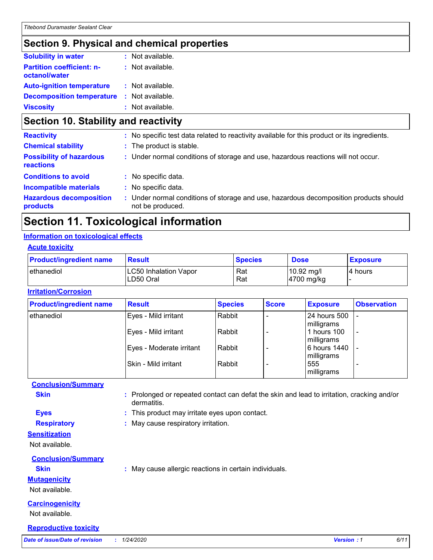### **Section 9. Physical and chemical properties**

| <b>Solubility in water</b>                        | $:$ Not available. |
|---------------------------------------------------|--------------------|
| <b>Partition coefficient: n-</b><br>octanol/water | : Not available.   |
| <b>Auto-ignition temperature</b>                  | : Not available.   |
| <b>Decomposition temperature</b>                  | : Not available.   |
| <b>Viscosity</b>                                  | : Not available.   |

# **Section 10. Stability and reactivity**

| <b>Reactivity</b>                            | : No specific test data related to reactivity available for this product or its ingredients.              |
|----------------------------------------------|-----------------------------------------------------------------------------------------------------------|
| <b>Chemical stability</b>                    | : The product is stable.                                                                                  |
| <b>Possibility of hazardous</b><br>reactions | : Under normal conditions of storage and use, hazardous reactions will not occur.                         |
| <b>Conditions to avoid</b>                   | : No specific data.                                                                                       |
| <b>Incompatible materials</b>                | : No specific data.                                                                                       |
| <b>Hazardous decomposition</b><br>products   | : Under normal conditions of storage and use, hazardous decomposition products should<br>not be produced. |
|                                              |                                                                                                           |

### **Section 11. Toxicological information**

#### **Information on toxicological effects**

#### **Acute toxicity**

| <b>Product/ingredient name</b> | <b>Result</b>                             | <b>Species</b> | <b>Dose</b>              | <b>Exposure</b> |
|--------------------------------|-------------------------------------------|----------------|--------------------------|-----------------|
| ethanediol                     | <b>LC50 Inhalation Vapor</b><br>LD50 Oral | Rat<br>Rat     | 10.92 mg/l<br>4700 mg/kg | I4 hours        |

#### **Irritation/Corrosion**

| <b>Product/ingredient name</b> | <b>Result</b>            | <b>Species</b> | <b>Score</b> | <b>Exposure</b> | <b>Observation</b>       |
|--------------------------------|--------------------------|----------------|--------------|-----------------|--------------------------|
| ethanediol                     | Eyes - Mild irritant     | Rabbit         |              | 24 hours 500    |                          |
|                                |                          |                |              | milligrams      |                          |
|                                | Eyes - Mild irritant     | Rabbit         |              | 1 hours 100     | $\overline{\phantom{a}}$ |
|                                |                          |                |              | milligrams      |                          |
|                                | Eyes - Moderate irritant | Rabbit         |              | 6 hours 1440    | $\overline{\phantom{0}}$ |
|                                |                          |                |              | milligrams      |                          |
|                                | Skin - Mild irritant     | Rabbit         |              | 555             | $\overline{\phantom{0}}$ |
|                                |                          |                |              | milligrams      |                          |

### **Conclusion/Summary Skin Example 20 :** Prolonged or repeated contact can defat the skin and lead to irritation, cracking and/or dermatitis. **Eyes :** This product may irritate eyes upon contact. **Respiratory :** May cause respiratory irritation. **Sensitization** Not available. **Conclusion/Summary Skin :** May cause allergic reactions in certain individuals.

### **Mutagenicity**

Not available.

#### **Carcinogenicity**

Not available.

#### **Reproductive toxicity**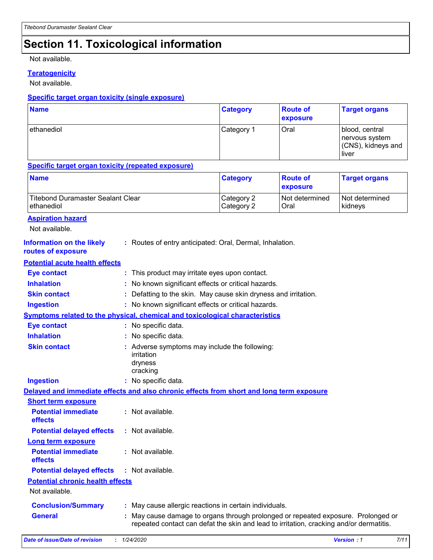# **Section 11. Toxicological information**

Not available.

#### **Teratogenicity**

Not available.

#### **Specific target organ toxicity (single exposure)**

| <b>Name</b> | <b>Category</b> | <b>Route of</b><br><b>exposure</b> | <b>Target organs</b>                                            |
|-------------|-----------------|------------------------------------|-----------------------------------------------------------------|
| ethanediol  | Category 1      | Oral                               | blood, central<br>nervous system<br>(CNS), kidneys and<br>liver |

#### **Specific target organ toxicity (repeated exposure)**

| <b>Name</b>                                                                              |                                                     |                                                                                  | <b>Category</b>          | <b>Route of</b><br>exposure | <b>Target organs</b>      |
|------------------------------------------------------------------------------------------|-----------------------------------------------------|----------------------------------------------------------------------------------|--------------------------|-----------------------------|---------------------------|
| <b>Titebond Duramaster Sealant Clear</b><br>ethanediol                                   |                                                     |                                                                                  | Category 2<br>Category 2 | Not determined<br>Oral      | Not determined<br>kidneys |
| <b>Aspiration hazard</b><br>Not available.                                               |                                                     |                                                                                  |                          |                             |                           |
| <b>Information on the likely</b><br>routes of exposure                                   |                                                     | : Routes of entry anticipated: Oral, Dermal, Inhalation.                         |                          |                             |                           |
| <b>Potential acute health effects</b>                                                    |                                                     |                                                                                  |                          |                             |                           |
| <b>Eye contact</b>                                                                       |                                                     | : This product may irritate eyes upon contact.                                   |                          |                             |                           |
| <b>Inhalation</b>                                                                        |                                                     | No known significant effects or critical hazards.                                |                          |                             |                           |
| <b>Skin contact</b>                                                                      |                                                     | Defatting to the skin. May cause skin dryness and irritation.                    |                          |                             |                           |
| <b>Ingestion</b>                                                                         | : No known significant effects or critical hazards. |                                                                                  |                          |                             |                           |
| Symptoms related to the physical, chemical and toxicological characteristics             |                                                     |                                                                                  |                          |                             |                           |
| <b>Eye contact</b>                                                                       |                                                     | : No specific data.                                                              |                          |                             |                           |
| <b>Inhalation</b>                                                                        |                                                     | : No specific data.                                                              |                          |                             |                           |
| <b>Skin contact</b>                                                                      |                                                     | Adverse symptoms may include the following:<br>irritation<br>dryness<br>cracking |                          |                             |                           |
| <b>Ingestion</b>                                                                         | : No specific data.                                 |                                                                                  |                          |                             |                           |
| Delayed and immediate effects and also chronic effects from short and long term exposure |                                                     |                                                                                  |                          |                             |                           |
| <b>Short term exposure</b>                                                               |                                                     |                                                                                  |                          |                             |                           |
| <b>Potential immediate</b><br>effects                                                    |                                                     | : Not available.                                                                 |                          |                             |                           |
| <b>Potential delayed effects</b>                                                         |                                                     | : Not available.                                                                 |                          |                             |                           |
| <u>Long term exposure</u>                                                                |                                                     |                                                                                  |                          |                             |                           |
| <b>Potential immediate</b>                                                               |                                                     | : Not available.                                                                 |                          |                             |                           |

### **effects**

**Potential chronic health effects Potential delayed effects :** Not available.

Not available.

| <b>Conclusion/Summary</b> | May cause allergic reactions in certain individuals. |
|---------------------------|------------------------------------------------------|
|                           |                                                      |

May cause damage to organs through prolonged or repeated exposure. Prolonged or repeated contact can defat the skin and lead to irritation, cracking and/or dermatitis. **General :**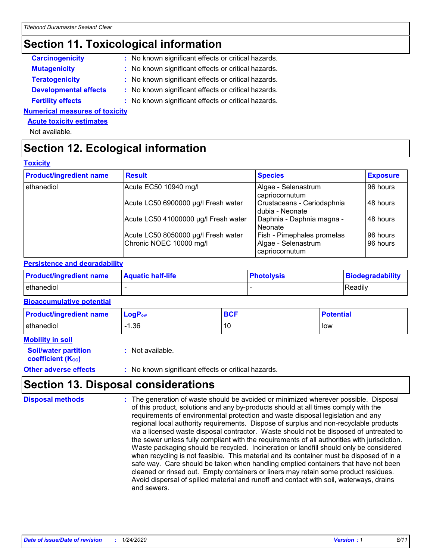### **Section 11. Toxicological information**

| <b>Carcinogenicity</b> | : No known significant effects or critical hazards. |
|------------------------|-----------------------------------------------------|
| <b>Mutagenicity</b>    | : No known significant effects or critical hazards. |
|                        |                                                     |

- **Teratogenicity :** No known significant effects or critical hazards.
- **Developmental effects :** No known significant effects or critical hazards.
- **Fertility effects :** No known significant effects or critical hazards.

#### **Numerical measures of toxicity**

#### **Acute toxicity estimates**

Not available.

# **Section 12. Ecological information**

#### **Toxicity**

| <b>Product/ingredient name</b> | <b>Result</b>                        | <b>Species</b>                                | <b>Exposure</b> |
|--------------------------------|--------------------------------------|-----------------------------------------------|-----------------|
| ethanediol                     | Acute EC50 10940 mg/l                | Algae - Selenastrum<br>capriocornutum         | 96 hours        |
|                                | Acute LC50 6900000 µg/l Fresh water  | Crustaceans - Ceriodaphnia<br>dubia - Neonate | 48 hours        |
|                                | Acute LC50 41000000 µg/l Fresh water | Daphnia - Daphnia magna -<br>l Neonate        | 48 hours        |
|                                | Acute LC50 8050000 µg/l Fresh water  | Fish - Pimephales promelas                    | 96 hours        |
|                                | Chronic NOEC 10000 mg/l              | Algae - Selenastrum<br>capriocornutum         | 96 hours        |

#### **Persistence and degradability**

| <b>Product/ingredient name</b> | <b>Aquatic half-life</b> | <b>Photolysis</b> | Biodegradability |
|--------------------------------|--------------------------|-------------------|------------------|
| ethanediol                     |                          |                   | Readily          |

#### **Bioaccumulative potential**

| <b>Product/ingredient name</b> | $LogP_{ow}$ | <b>BCF</b> | <b>Potential</b> |
|--------------------------------|-------------|------------|------------------|
| ethanediol                     | 1.36        | 10         | low              |

### **Mobility in soil**

| <b>Soil/water partition</b>    | : Not available. |
|--------------------------------|------------------|
| coefficient (K <sub>oc</sub> ) |                  |

**Other adverse effects** : No known significant effects or critical hazards.

### **Section 13. Disposal considerations**

The generation of waste should be avoided or minimized wherever possible. Disposal of this product, solutions and any by-products should at all times comply with the requirements of environmental protection and waste disposal legislation and any regional local authority requirements. Dispose of surplus and non-recyclable products via a licensed waste disposal contractor. Waste should not be disposed of untreated to the sewer unless fully compliant with the requirements of all authorities with jurisdiction. Waste packaging should be recycled. Incineration or landfill should only be considered when recycling is not feasible. This material and its container must be disposed of in a safe way. Care should be taken when handling emptied containers that have not been cleaned or rinsed out. Empty containers or liners may retain some product residues. Avoid dispersal of spilled material and runoff and contact with soil, waterways, drains and sewers. **Disposal methods :**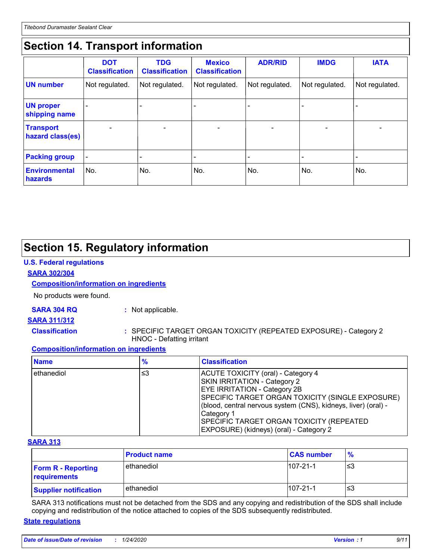# **Section 14. Transport information**

|                                      | <b>DOT</b><br><b>Classification</b> | <b>TDG</b><br><b>Classification</b> | <b>Mexico</b><br><b>Classification</b> | <b>ADR/RID</b>           | <b>IMDG</b>              | <b>IATA</b>              |
|--------------------------------------|-------------------------------------|-------------------------------------|----------------------------------------|--------------------------|--------------------------|--------------------------|
| <b>UN</b> number                     | Not regulated.                      | Not regulated.                      | Not regulated.                         | Not regulated.           | Not regulated.           | Not regulated.           |
| <b>UN proper</b><br>shipping name    |                                     |                                     |                                        |                          |                          |                          |
| <b>Transport</b><br>hazard class(es) |                                     | $\overline{\phantom{0}}$            |                                        | $\overline{\phantom{0}}$ | $\overline{\phantom{0}}$ | $\overline{\phantom{0}}$ |
| <b>Packing group</b>                 | $\overline{\phantom{a}}$            |                                     |                                        |                          |                          |                          |
| <b>Environmental</b><br>hazards      | No.                                 | No.                                 | No.                                    | No.                      | No.                      | No.                      |

# **Section 15. Regulatory information**

#### **U.S. Federal regulations**

#### **SARA 302/304**

#### **Composition/information on ingredients**

No products were found.

#### **SARA 304 RQ :** Not applicable.

#### **SARA 311/312**

**Classification :** SPECIFIC TARGET ORGAN TOXICITY (REPEATED EXPOSURE) - Category 2 HNOC - Defatting irritant

#### **Composition/information on ingredients**

| <b>Name</b>  | %  | <b>Classification</b>                                                                                                                                                                                                                                                                                                                        |
|--------------|----|----------------------------------------------------------------------------------------------------------------------------------------------------------------------------------------------------------------------------------------------------------------------------------------------------------------------------------------------|
| l ethanediol | ≤3 | ACUTE TOXICITY (oral) - Category 4<br>SKIN IRRITATION - Category 2<br><b>EYE IRRITATION - Category 2B</b><br>SPECIFIC TARGET ORGAN TOXICITY (SINGLE EXPOSURE)<br>(blood, central nervous system (CNS), kidneys, liver) (oral) -<br>Category 1<br><b>SPECIFIC TARGET ORGAN TOXICITY (REPEATED)</b><br>EXPOSURE) (kidneys) (oral) - Category 2 |

#### **SARA 313**

|                                           | <b>Product name</b> | <b>CAS number</b> | $\frac{9}{6}$ |
|-------------------------------------------|---------------------|-------------------|---------------|
| <b>Form R - Reporting</b><br>requirements | ethanediol          | $107 - 21 - 1$    | ≤3            |
| <b>Supplier notification</b>              | ethanediol          | $107 - 21 - 1$    | ≤3            |

SARA 313 notifications must not be detached from the SDS and any copying and redistribution of the SDS shall include copying and redistribution of the notice attached to copies of the SDS subsequently redistributed.

#### **State regulations**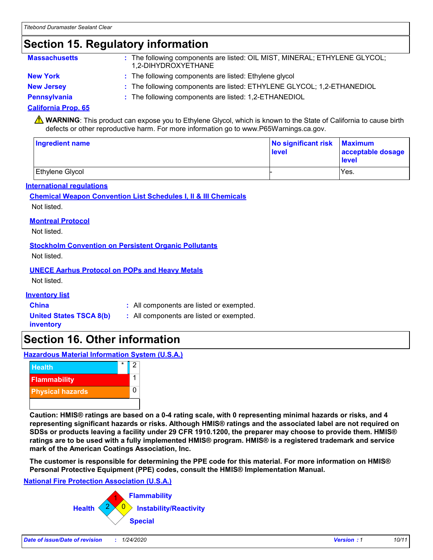### **Section 15. Regulatory information**

| <b>Massachusetts</b> | : The following components are listed: OIL MIST, MINERAL; ETHYLENE GLYCOL;<br>1,2-DIHYDROXYETHANE |
|----------------------|---------------------------------------------------------------------------------------------------|
| <b>New York</b>      | : The following components are listed: Ethylene glycol                                            |
| <b>New Jersey</b>    | : The following components are listed: ETHYLENE GLYCOL; 1,2-ETHANEDIOL                            |
|                      |                                                                                                   |

**Pennsylvania :** The following components are listed: 1,2-ETHANEDIOL

#### **California Prop. 65**

**A** WARNING: This product can expose you to Ethylene Glycol, which is known to the State of California to cause birth defects or other reproductive harm. For more information go to www.P65Warnings.ca.gov.

| Ingredient name | No significant risk Maximum<br>level | acceptable dosage<br>level |
|-----------------|--------------------------------------|----------------------------|
| Ethylene Glycol |                                      | Yes.                       |

#### **International regulations**

#### **Chemical Weapon Convention List Schedules I, II & III Chemicals** Not listed.

#### **Montreal Protocol**

Not listed.

#### **Stockholm Convention on Persistent Organic Pollutants**

Not listed.

#### **UNECE Aarhus Protocol on POPs and Heavy Metals**

Not listed.

#### **Inventory list**

**China :** All components are listed or exempted.

**United States TSCA 8(b) inventory**

- **:** All components are listed or exempted.
- **Section 16. Other information**

**Hazardous Material Information System (U.S.A.)**



**Caution: HMIS® ratings are based on a 0-4 rating scale, with 0 representing minimal hazards or risks, and 4 representing significant hazards or risks. Although HMIS® ratings and the associated label are not required on SDSs or products leaving a facility under 29 CFR 1910.1200, the preparer may choose to provide them. HMIS® ratings are to be used with a fully implemented HMIS® program. HMIS® is a registered trademark and service mark of the American Coatings Association, Inc.**

**The customer is responsible for determining the PPE code for this material. For more information on HMIS® Personal Protective Equipment (PPE) codes, consult the HMIS® Implementation Manual.**

#### **National Fire Protection Association (U.S.A.)**